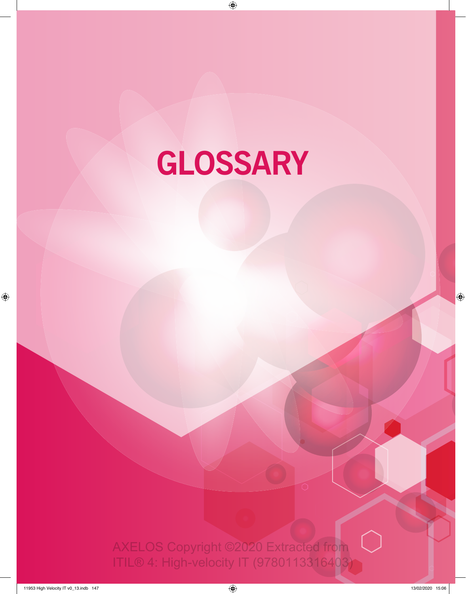# **GLOSSARY**

 $\overline{\phantom{0}}$ 

 $\left(\begin{array}{c} \end{array}\right)$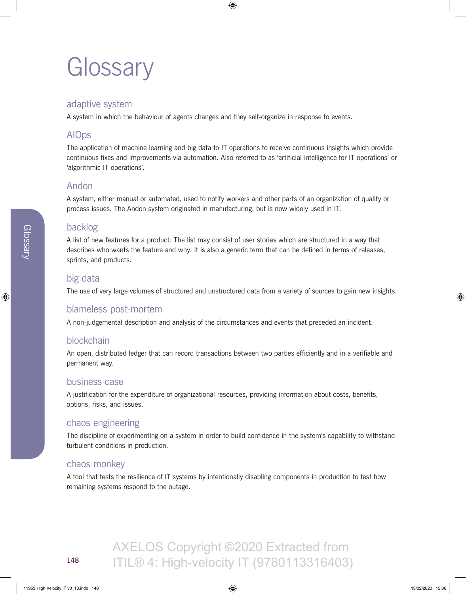## **Glossary**

## adaptive system

A system in which the behaviour of agents changes and they self-organize in response to events.

## AIOps

The application of machine learning and big data to IT operations to receive continuous insights which provide continuous fixes and improvements via automation. Also referred to as 'artificial intelligence for IT operations' or 'algorithmic IT operations'.

## Andon

A system, either manual or automated, used to notify workers and other parts of an organization of quality or process issues. The Andon system originated in manufacturing, but is now widely used in IT.

## backlog

A list of new features for a product. The list may consist of user stories which are structured in a way that describes who wants the feature and why. It is also a generic term that can be defined in terms of releases, sprints, and products.

## big data

The use of very large volumes of structured and unstructured data from a variety of sources to gain new insights.

## blameless post-mortem

A non-judgemental description and analysis of the circumstances and events that preceded an incident.

## blockchain

An open, distributed ledger that can record transactions between two parties efficiently and in a verifiable and permanent way.

## business case

A justification for the expenditure of organizational resources, providing information about costs, benefits, options, risks, and issues.

## chaos engineering

The discipline of experimenting on a system in order to build confidence in the system's capability to withstand turbulent conditions in production.

## chaos monkey

A tool that tests the resilience of IT systems by intentionally disabling components in production to test how remaining systems respond to the outage.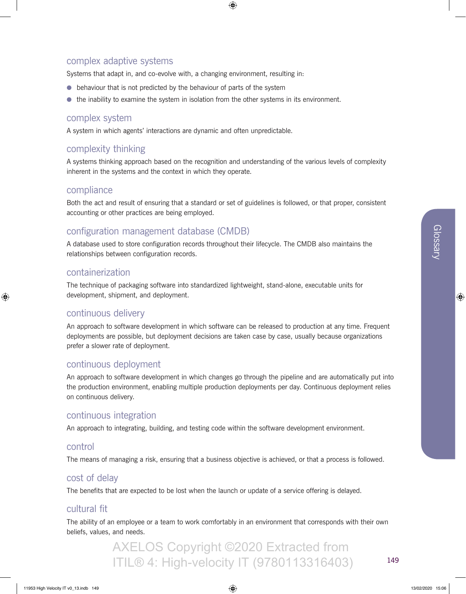## complex adaptive systems

Systems that adapt in, and co-evolve with, a changing environment, resulting in:

- behaviour that is not predicted by the behaviour of parts of the system
- the inability to examine the system in isolation from the other systems in its environment.

#### complex system

A system in which agents' interactions are dynamic and often unpredictable.

## complexity thinking

A systems thinking approach based on the recognition and understanding of the various levels of complexity inherent in the systems and the context in which they operate.

#### compliance

Both the act and result of ensuring that a standard or set of guidelines is followed, or that proper, consistent accounting or other practices are being employed.

## configuration management database (CMDB)

A database used to store configuration records throughout their lifecycle. The CMDB also maintains the relationships between configuration records.

#### containerization

The technique of packaging software into standardized lightweight, stand-alone, executable units for development, shipment, and deployment.

#### continuous delivery

An approach to software development in which software can be released to production at any time. Frequent deployments are possible, but deployment decisions are taken case by case, usually because organizations prefer a slower rate of deployment.

#### continuous deployment

An approach to software development in which changes go through the pipeline and are automatically put into the production environment, enabling multiple production deployments per day. Continuous deployment relies on continuous delivery.

#### continuous integration

An approach to integrating, building, and testing code within the software development environment.

#### control

The means of managing a risk, ensuring that a business objective is achieved, or that a process is followed.

#### cost of delay

The benefits that are expected to be lost when the launch or update of a service offering is delayed.

#### cultural fit

The ability of an employee or a team to work comfortably in an environment that corresponds with their own beliefs, values, and needs.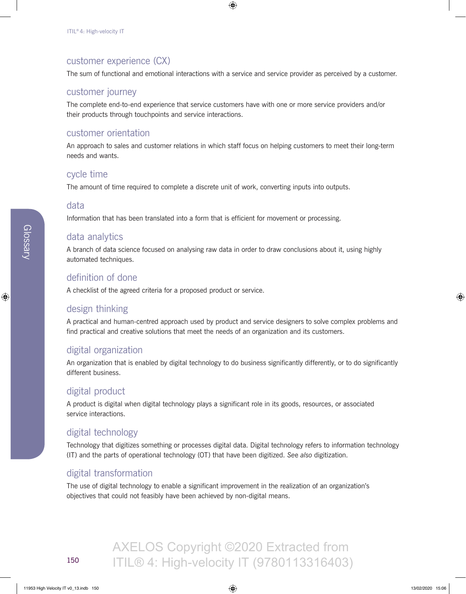## customer experience (CX)

The sum of functional and emotional interactions with a service and service provider as perceived by a customer.

#### customer journey

The complete end-to-end experience that service customers have with one or more service providers and/or their products through touchpoints and service interactions.

#### customer orientation

An approach to sales and customer relations in which staff focus on helping customers to meet their long-term needs and wants.

#### cycle time

The amount of time required to complete a discrete unit of work, converting inputs into outputs.

#### data

Information that has been translated into a form that is efficient for movement or processing.

## data analytics

A branch of data science focused on analysing raw data in order to draw conclusions about it, using highly automated techniques.

## definition of done

A checklist of the agreed criteria for a proposed product or service.

## design thinking

A practical and human-centred approach used by product and service designers to solve complex problems and find practical and creative solutions that meet the needs of an organization and its customers.

## digital organization

An organization that is enabled by digital technology to do business significantly differently, or to do significantly different business.

## digital product

A product is digital when digital technology plays a significant role in its goods, resources, or associated service interactions.

## digital technology

Technology that digitizes something or processes digital data. Digital technology refers to information technology (IT) and the parts of operational technology (OT) that have been digitized. *Se*e *also* digitization.

## digital transformation

The use of digital technology to enable a significant improvement in the realization of an organization's objectives that could not feasibly have been achieved by non-digital means.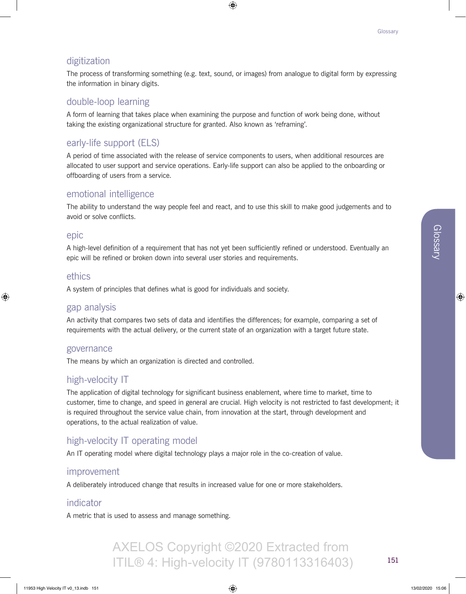## digitization

The process of transforming something (e.g. text, sound, or images) from analogue to digital form by expressing the information in binary digits.

#### double-loop learning

A form of learning that takes place when examining the purpose and function of work being done, without taking the existing organizational structure for granted. Also known as 'reframing'.

## early-life support (ELS)

A period of time associated with the release of service components to users, when additional resources are allocated to user support and service operations. Early-life support can also be applied to the onboarding or offboarding of users from a service.

#### emotional intelligence

The ability to understand the way people feel and react, and to use this skill to make good judgements and to avoid or solve conflicts.

#### epic

A high-level definition of a requirement that has not yet been sufficiently refined or understood. Eventually an epic will be refined or broken down into several user stories and requirements.

#### ethics

A system of principles that defines what is good for individuals and society.

#### gap analysis

An activity that compares two sets of data and identifies the differences; for example, comparing a set of requirements with the actual delivery, or the current state of an organization with a target future state.

#### governance

The means by which an organization is directed and controlled.

## high-velocity IT

The application of digital technology for significant business enablement, where time to market, time to customer, time to change, and speed in general are crucial. High velocity is not restricted to fast development; it is required throughout the service value chain, from innovation at the start, through development and operations, to the actual realization of value.

## high-velocity IT operating model

An IT operating model where digital technology plays a major role in the co-creation of value.

#### improvement

A deliberately introduced change that results in increased value for one or more stakeholders.

#### indicator

A metric that is used to assess and manage something.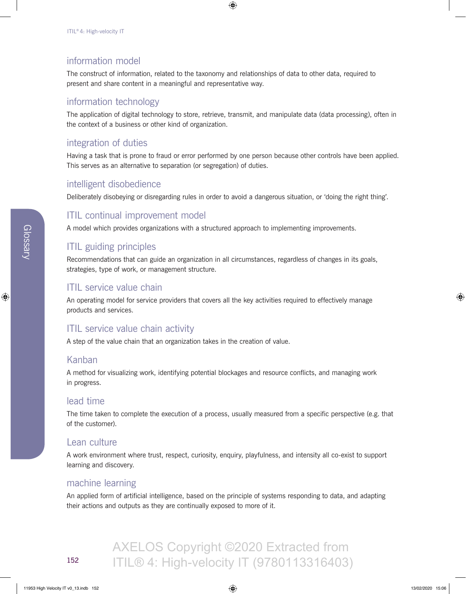## information model

The construct of information, related to the taxonomy and relationships of data to other data, required to present and share content in a meaningful and representative way.

## information technology

The application of digital technology to store, retrieve, transmit, and manipulate data (data processing), often in the context of a business or other kind of organization.

## integration of duties

Having a task that is prone to fraud or error performed by one person because other controls have been applied. This serves as an alternative to separation (or segregation) of duties.

## intelligent disobedience

Deliberately disobeying or disregarding rules in order to avoid a dangerous situation, or 'doing the right thing'.

## ITIL continual improvement model

A model which provides organizations with a structured approach to implementing improvements.

## ITIL guiding principles

Recommendations that can guide an organization in all circumstances, regardless of changes in its goals, strategies, type of work, or management structure.

## ITIL service value chain

An operating model for service providers that covers all the key activities required to effectively manage products and services.

## ITIL service value chain activity

A step of the value chain that an organization takes in the creation of value.

#### Kanban

A method for visualizing work, identifying potential blockages and resource conflicts, and managing work in progress.

#### lead time

The time taken to complete the execution of a process, usually measured from a specific perspective (e.g. that of the customer).

## Lean culture

A work environment where trust, respect, curiosity, enquiry, playfulness, and intensity all co-exist to support learning and discovery.

#### machine learning

An applied form of artificial intelligence, based on the principle of systems responding to data, and adapting their actions and outputs as they are continually exposed to more of it.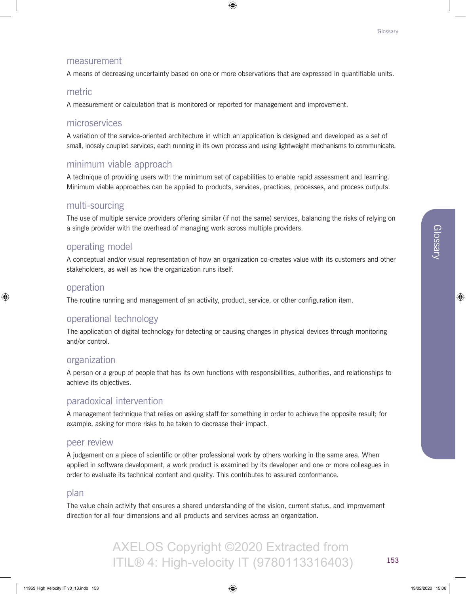#### measurement

A means of decreasing uncertainty based on one or more observations that are expressed in quantifiable units.

#### metric

A measurement or calculation that is monitored or reported for management and improvement.

#### microservices

A variation of the service-oriented architecture in which an application is designed and developed as a set of small, loosely coupled services, each running in its own process and using lightweight mechanisms to communicate.

## minimum viable approach

A technique of providing users with the minimum set of capabilities to enable rapid assessment and learning. Minimum viable approaches can be applied to products, services, practices, processes, and process outputs.

## multi-sourcing

The use of multiple service providers offering similar (if not the same) services, balancing the risks of relying on a single provider with the overhead of managing work across multiple providers.

## operating model

A conceptual and/or visual representation of how an organization co-creates value with its customers and other stakeholders, as well as how the organization runs itself.

## operation

The routine running and management of an activity, product, service, or other configuration item.

#### operational technology

The application of digital technology for detecting or causing changes in physical devices through monitoring and/or control.

#### organization

A person or a group of people that has its own functions with responsibilities, authorities, and relationships to achieve its objectives.

## paradoxical intervention

A management technique that relies on asking staff for something in order to achieve the opposite result; for example, asking for more risks to be taken to decrease their impact.

#### peer review

A judgement on a piece of scientific or other professional work by others working in the same area. When applied in software development, a work product is examined by its developer and one or more colleagues in order to evaluate its technical content and quality. This contributes to assured conformance.

#### plan

The value chain activity that ensures a shared understanding of the vision, current status, and improvement direction for all four dimensions and all products and services across an organization.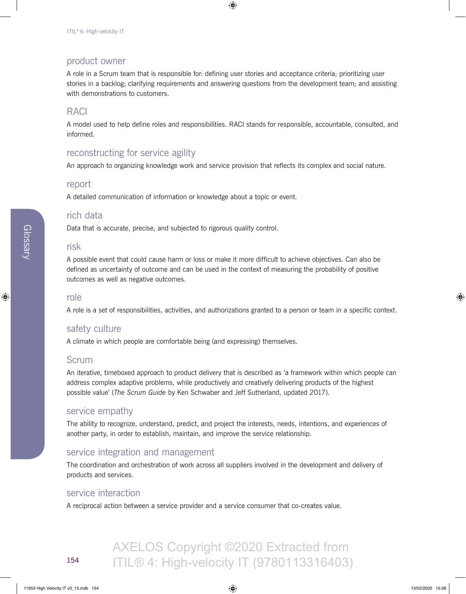#### product owner

A role in a Scrum team that is responsible for: defining user stories and acceptance criteria; prioritizing user stories in a backlog; clarifying requirements and answering questions from the development team; and assisting with demonstrations to customers.

## RACI

A model used to help define roles and responsibilities. RACI stands for responsible, accountable, consulted, and informed.

## reconstructing for service agility

An approach to organizing knowledge work and service provision that reflects its complex and social nature.

#### report

A detailed communication of information or knowledge about a topic or event.

#### rich data

Data that is accurate, precise, and subjected to rigorous quality control.

#### risk

A possible event that could cause harm or loss or make it more difficult to achieve objectives. Can also be defined as uncertainty of outcome and can be used in the context of measuring the probability of positive outcomes as well as negative outcomes.

#### role

A role is a set of responsibilities, activities, and authorizations granted to a person or team in a specific context.

#### safety culture

A climate in which people are comfortable being (and expressing) themselves.

#### Scrum

An iterative, timeboxed approach to product delivery that is described as 'a framework within which people can address complex adaptive problems, while productively and creatively delivering products of the highest possible value' (*The Scrum Guide* by Ken Schwaber and Jeff Sutherland, updated 2017).

#### service empathy

The ability to recognize, understand, predict, and project the interests, needs, intentions, and experiences of another party, in order to establish, maintain, and improve the service relationship.

#### service integration and management

The coordination and orchestration of work across all suppliers involved in the development and delivery of products and services.

#### service interaction

A reciprocal action between a service provider and a service consumer that co-creates value.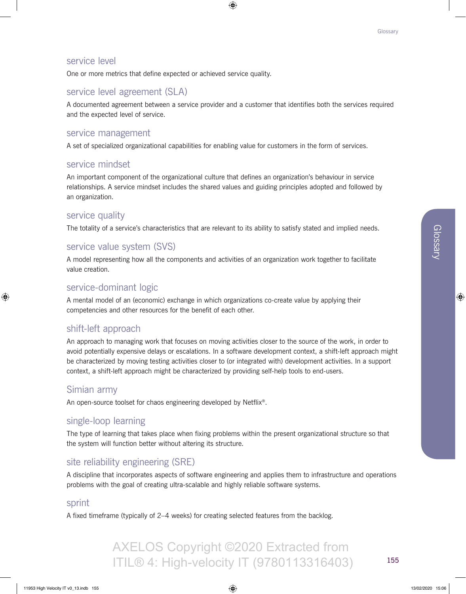## service level

One or more metrics that define expected or achieved service quality.

## service level agreement (SLA)

A documented agreement between a service provider and a customer that identifies both the services required and the expected level of service.

#### service management

A set of specialized organizational capabilities for enabling value for customers in the form of services.

#### service mindset

An important component of the organizational culture that defines an organization's behaviour in service relationships. A service mindset includes the shared values and guiding principles adopted and followed by an organization.

#### service quality

The totality of a service's characteristics that are relevant to its ability to satisfy stated and implied needs.

## service value system (SVS)

A model representing how all the components and activities of an organization work together to facilitate value creation.

## service-dominant logic

A mental model of an (economic) exchange in which organizations co-create value by applying their competencies and other resources for the benefit of each other.

## shift-left approach

An approach to managing work that focuses on moving activities closer to the source of the work, in order to avoid potentially expensive delays or escalations. In a software development context, a shift-left approach might be characterized by moving testing activities closer to (or integrated with) development activities. In a support context, a shift-left approach might be characterized by providing self-help tools to end-users.

#### Simian army

An open-source toolset for chaos engineering developed by Netflix®.

## single-loop learning

The type of learning that takes place when fixing problems within the present organizational structure so that the system will function better without altering its structure.

## site reliability engineering (SRE)

A discipline that incorporates aspects of software engineering and applies them to infrastructure and operations problems with the goal of creating ultra-scalable and highly reliable software systems.

AXELOS Copyright ©2020 Extracted from

#### sprint

A fixed timeframe (typically of 2–4 weeks) for creating selected features from the backlog.

155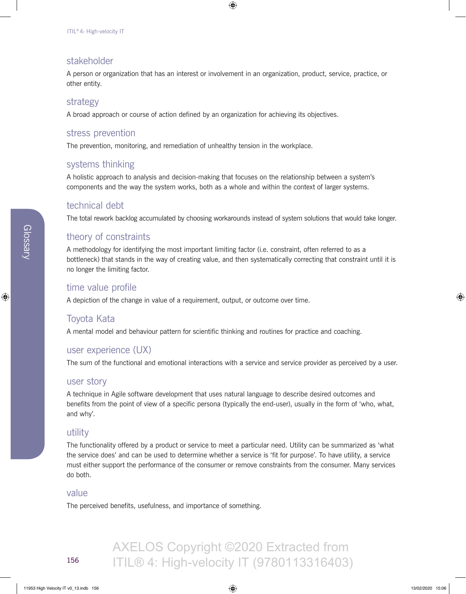## stakeholder

A person or organization that has an interest or involvement in an organization, product, service, practice, or other entity.

## strategy

A broad approach or course of action defined by an organization for achieving its objectives.

## stress prevention

The prevention, monitoring, and remediation of unhealthy tension in the workplace.

## systems thinking

A holistic approach to analysis and decision-making that focuses on the relationship between a system's components and the way the system works, both as a whole and within the context of larger systems.

## technical debt

The total rework backlog accumulated by choosing workarounds instead of system solutions that would take longer.

## theory of constraints

A methodology for identifying the most important limiting factor (i.e. constraint, often referred to as a bottleneck) that stands in the way of creating value, and then systematically correcting that constraint until it is no longer the limiting factor.

## time value profile

A depiction of the change in value of a requirement, output, or outcome over time.

## Toyota Kata

A mental model and behaviour pattern for scientific thinking and routines for practice and coaching.

## user experience (UX)

The sum of the functional and emotional interactions with a service and service provider as perceived by a user.

#### user story

A technique in Agile software development that uses natural language to describe desired outcomes and benefits from the point of view of a specific persona (typically the end-user), usually in the form of 'who, what, and why'.

## utility

The functionality offered by a product or service to meet a particular need. Utility can be summarized as 'what the service does' and can be used to determine whether a service is 'fit for purpose'. To have utility, a service must either support the performance of the consumer or remove constraints from the consumer. Many services do both.

#### value

The perceived benefits, usefulness, and importance of something.